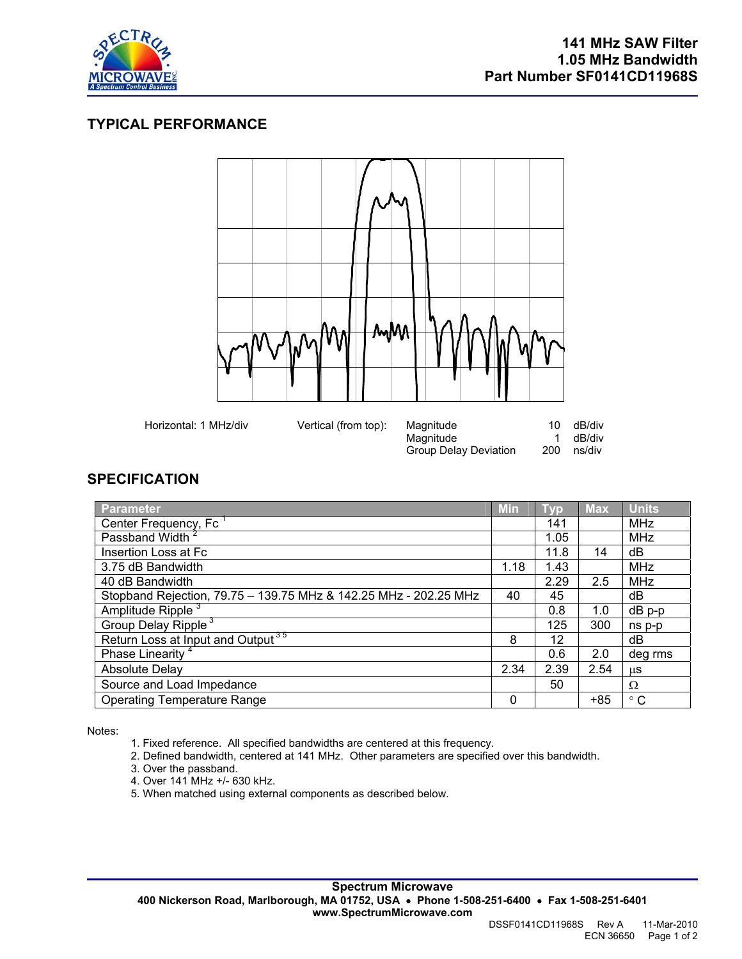

## **TYPICAL PERFORMANCE**



## **SPECIFICATION**

| <b>Parameter</b>                                                 | <b>Min</b> | <b>TVD</b> | <b>Max</b> | <b>Units</b> |
|------------------------------------------------------------------|------------|------------|------------|--------------|
| Center Frequency, Fc                                             |            | 141        |            | <b>MHz</b>   |
| Passband Width <sup>2</sup>                                      |            | 1.05       |            | <b>MHz</b>   |
| Insertion Loss at Fc                                             |            | 11.8       | 14         | dB           |
| 3.75 dB Bandwidth                                                | 1.18       | 1.43       |            | <b>MHz</b>   |
| 40 dB Bandwidth                                                  |            | 2.29       | 2.5        | <b>MHz</b>   |
| Stopband Rejection, 79.75 - 139.75 MHz & 142.25 MHz - 202.25 MHz | 40         | 45         |            | dB           |
| Amplitude Ripple <sup>3</sup>                                    |            | 0.8        | 1.0        | $dB$ p-p     |
| Group Delay Ripple <sup>3</sup>                                  |            | 125        | 300        | ns p-p       |
| Return Loss at Input and Output <sup>35</sup>                    | 8          | 12         |            | dB           |
| Phase Linearity <sup>4</sup>                                     |            | 0.6        | 2.0        | deg rms      |
| <b>Absolute Delay</b>                                            | 2.34       | 2.39       | 2.54       | μS           |
| Source and Load Impedance                                        |            | 50         |            | Ω            |
| <b>Operating Temperature Range</b>                               | 0          |            | $+85$      | $^{\circ}$ C |

Notes:

- 1. Fixed reference. All specified bandwidths are centered at this frequency.
- 2. Defined bandwidth, centered at 141 MHz. Other parameters are specified over this bandwidth.
- 3. Over the passband.
- 4. Over 141 MHz +/- 630 kHz.
- 5. When matched using external components as described below.